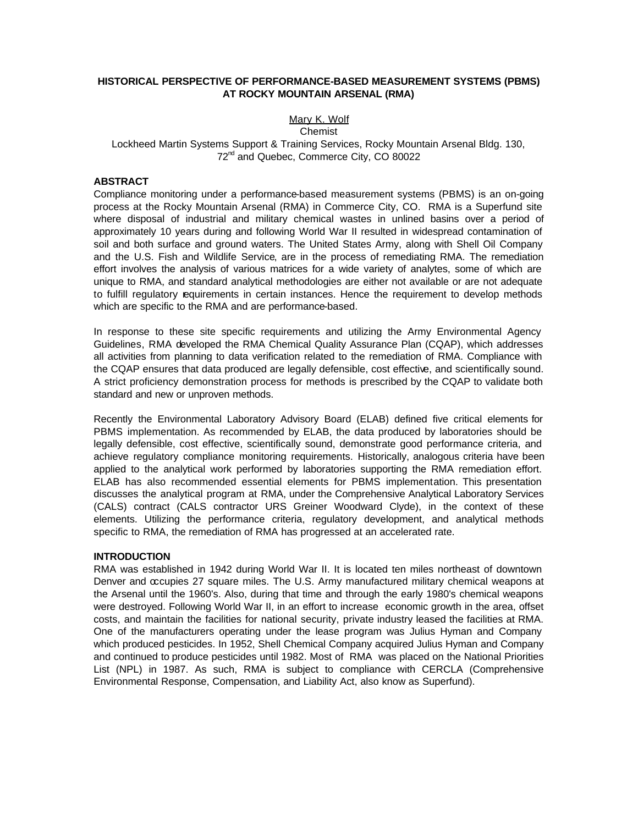## **HISTORICAL PERSPECTIVE OF PERFORMANCE-BASED MEASUREMENT SYSTEMS (PBMS) AT ROCKY MOUNTAIN ARSENAL (RMA)**

# Mary K. Wolf

Chemist

Lockheed Martin Systems Support & Training Services, Rocky Mountain Arsenal Bldg. 130, 72<sup>nd</sup> and Quebec, Commerce City, CO 80022

### **ABSTRACT**

Compliance monitoring under a performance-based measurement systems (PBMS) is an on-going process at the Rocky Mountain Arsenal (RMA) in Commerce City, CO. RMA is a Superfund site where disposal of industrial and military chemical wastes in unlined basins over a period of approximately 10 years during and following World War II resulted in widespread contamination of soil and both surface and ground waters. The United States Army, along with Shell Oil Company and the U.S. Fish and Wildlife Service, are in the process of remediating RMA. The remediation effort involves the analysis of various matrices for a wide variety of analytes, some of which are unique to RMA, and standard analytical methodologies are either not available or are not adequate to fulfill regulatory equirements in certain instances. Hence the requirement to develop methods which are specific to the RMA and are performance-based.

In response to these site specific requirements and utilizing the Army Environmental Agency Guidelines, RMA developed the RMA Chemical Quality Assurance Plan (CQAP), which addresses all activities from planning to data verification related to the remediation of RMA. Compliance with the CQAP ensures that data produced are legally defensible, cost effective, and scientifically sound. A strict proficiency demonstration process for methods is prescribed by the CQAP to validate both standard and new or unproven methods.

Recently the Environmental Laboratory Advisory Board (ELAB) defined five critical elements for PBMS implementation. As recommended by ELAB, the data produced by laboratories should be legally defensible, cost effective, scientifically sound, demonstrate good performance criteria, and achieve regulatory compliance monitoring requirements. Historically, analogous criteria have been applied to the analytical work performed by laboratories supporting the RMA remediation effort. ELAB has also recommended essential elements for PBMS implementation. This presentation discusses the analytical program at RMA, under the Comprehensive Analytical Laboratory Services (CALS) contract (CALS contractor URS Greiner Woodward Clyde), in the context of these elements. Utilizing the performance criteria, regulatory development, and analytical methods specific to RMA, the remediation of RMA has progressed at an accelerated rate.

#### **INTRODUCTION**

RMA was established in 1942 during World War II. It is located ten miles northeast of downtown Denver and occupies 27 square miles. The U.S. Army manufactured military chemical weapons at the Arsenal until the 1960's. Also, during that time and through the early 1980's chemical weapons were destroyed. Following World War II, in an effort to increase economic growth in the area, offset costs, and maintain the facilities for national security, private industry leased the facilities at RMA. One of the manufacturers operating under the lease program was Julius Hyman and Company which produced pesticides. In 1952, Shell Chemical Company acquired Julius Hyman and Company and continued to produce pesticides until 1982. Most of RMA was placed on the National Priorities List (NPL) in 1987. As such, RMA is subject to compliance with CERCLA (Comprehensive Environmental Response, Compensation, and Liability Act, also know as Superfund).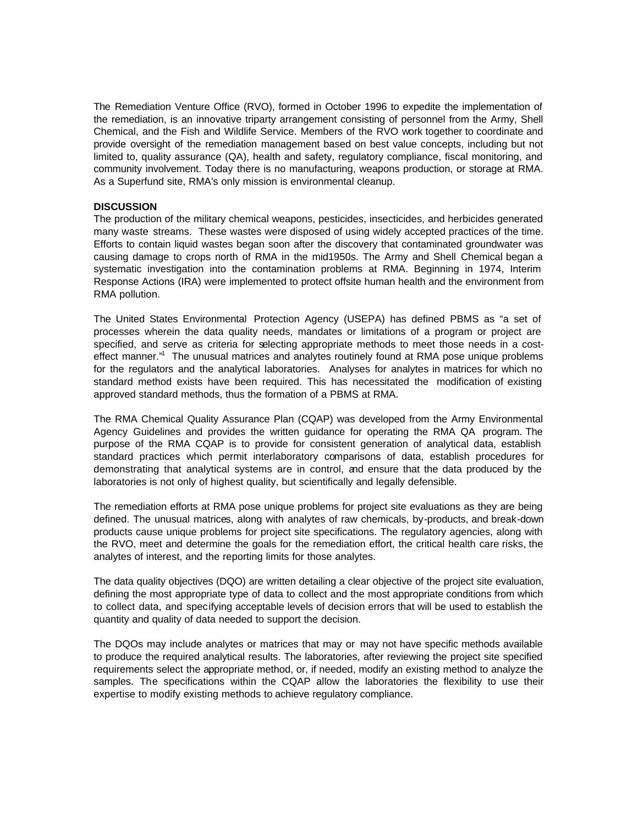The Remediation Venture Office (RVO), formed in October 1996 to expedite the implementation of the remediation, is an innovative triparty arrangement consisting of personnel from the Army, Shell Chemical, and the Fish and Wildlife Service. Members of the RVO work together to coordinate and provide oversight of the remediation management based on best value concepts, including but not limited to, quality assurance (QA), health and safety, regulatory compliance, fiscal monitoring, and community involvement. Today there is no manufacturing, weapons production, or storage at RMA. As a Superfund site, RMA's only mission is environmental cleanup.

### **DISCUSSION**

The production of the military chemical weapons, pesticides, insecticides, and herbicides generated many waste streams. These wastes were disposed of using widely accepted practices of the time. Efforts to contain liquid wastes began soon after the discovery that contaminated groundwater was causing damage to crops north of RMA in the mid1950s. The Army and Shell Chemical began a systematic investigation into the contamination problems at RMA. Beginning in 1974, Interim Response Actions (IRA) were implemented to protect offsite human health and the environment from RMA pollution.

The United States Environmental Protection Agency (USEPA) has defined PBMS as "a set of processes wherein the data quality needs, mandates or limitations of a program or project are specified, and serve as criteria for selecting appropriate methods to meet those needs in a costeffect manner."<sup>1</sup> The unusual matrices and analytes routinely found at RMA pose unique problems for the regulators and the analytical laboratories. Analyses for analytes in matrices for which no standard method exists have been required. This has necessitated the modification of existing approved standard methods, thus the formation of a PBMS at RMA.

The RMA Chemical Quality Assurance Plan (CQAP) was developed from the Army Environmental Agency Guidelines and provides the written guidance for operating the RMA QA program. The purpose of the RMA CQAP is to provide for consistent generation of analytical data, establish standard practices which permit interlaboratory comparisons of data, establish procedures for demonstrating that analytical systems are in control, and ensure that the data produced by the laboratories is not only of highest quality, but scientifically and legally defensible.

The remediation efforts at RMA pose unique problems for project site evaluations as they are being defined. The unusual matrices, along with analytes of raw chemicals, by-products, and break-down products cause unique problems for project site specifications. The regulatory agencies, along with the RVO, meet and determine the goals for the remediation effort, the critical health care risks, the analytes of interest, and the reporting limits for those analytes.

The data quality objectives (DQO) are written detailing a clear objective of the project site evaluation, defining the most appropriate type of data to collect and the most appropriate conditions from which to collect data, and specifying acceptable levels of decision errors that will be used to establish the quantity and quality of data needed to support the decision.

The DQOs may include analytes or matrices that may or may not have specific methods available to produce the required analytical results. The laboratories, after reviewing the project site specified requirements select the appropriate method, or, if needed, modify an existing method to analyze the samples. The specifications within the CQAP allow the laboratories the flexibility to use their expertise to modify existing methods to achieve regulatory compliance.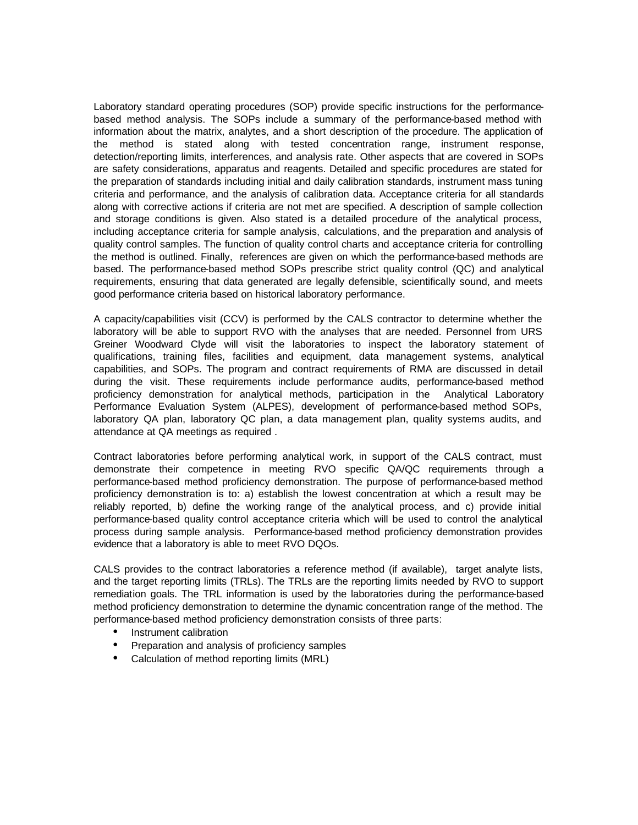Laboratory standard operating procedures (SOP) provide specific instructions for the performancebased method analysis. The SOPs include a summary of the performance-based method with information about the matrix, analytes, and a short description of the procedure. The application of the method is stated along with tested concentration range, instrument response, detection/reporting limits, interferences, and analysis rate. Other aspects that are covered in SOPs are safety considerations, apparatus and reagents. Detailed and specific procedures are stated for the preparation of standards including initial and daily calibration standards, instrument mass tuning criteria and performance, and the analysis of calibration data. Acceptance criteria for all standards along with corrective actions if criteria are not met are specified. A description of sample collection and storage conditions is given. Also stated is a detailed procedure of the analytical process, including acceptance criteria for sample analysis, calculations, and the preparation and analysis of quality control samples. The function of quality control charts and acceptance criteria for controlling the method is outlined. Finally, references are given on which the performance-based methods are based. The performance-based method SOPs prescribe strict quality control (QC) and analytical requirements, ensuring that data generated are legally defensible, scientifically sound, and meets good performance criteria based on historical laboratory performance.

A capacity/capabilities visit (CCV) is performed by the CALS contractor to determine whether the laboratory will be able to support RVO with the analyses that are needed. Personnel from URS Greiner Woodward Clyde will visit the laboratories to inspect the laboratory statement of qualifications, training files, facilities and equipment, data management systems, analytical capabilities, and SOPs. The program and contract requirements of RMA are discussed in detail during the visit. These requirements include performance audits, performance-based method proficiency demonstration for analytical methods, participation in the Analytical Laboratory Performance Evaluation System (ALPES), development of performance-based method SOPs, laboratory QA plan, laboratory QC plan, a data management plan, quality systems audits, and attendance at QA meetings as required .

Contract laboratories before performing analytical work, in support of the CALS contract, must demonstrate their competence in meeting RVO specific QA/QC requirements through a performance-based method proficiency demonstration. The purpose of performance-based method proficiency demonstration is to: a) establish the lowest concentration at which a result may be reliably reported, b) define the working range of the analytical process, and c) provide initial performance-based quality control acceptance criteria which will be used to control the analytical process during sample analysis. Performance-based method proficiency demonstration provides evidence that a laboratory is able to meet RVO DQOs.

CALS provides to the contract laboratories a reference method (if available), target analyte lists, and the target reporting limits (TRLs). The TRLs are the reporting limits needed by RVO to support remediation goals. The TRL information is used by the laboratories during the performance-based method proficiency demonstration to determine the dynamic concentration range of the method. The performance-based method proficiency demonstration consists of three parts:

- Instrument calibration
- Preparation and analysis of proficiency samples
- Calculation of method reporting limits (MRL)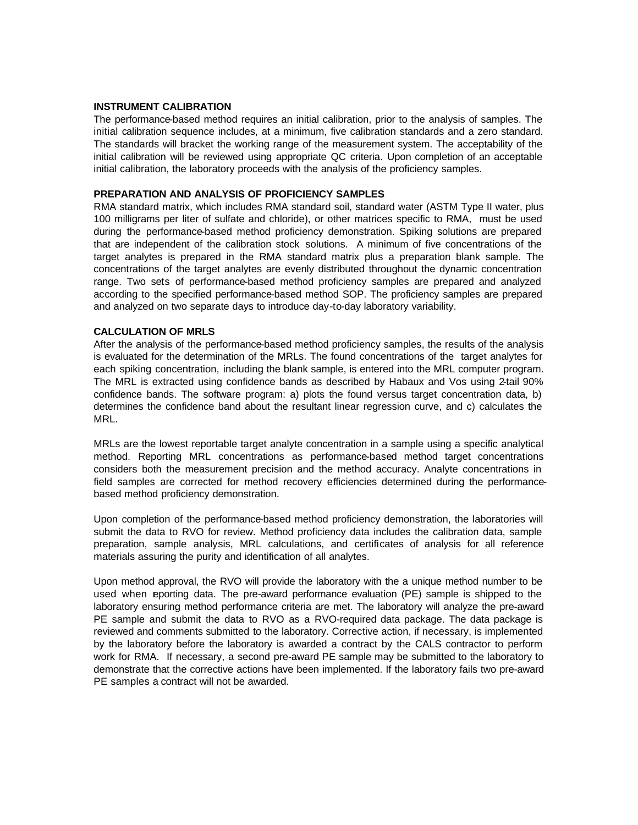#### **INSTRUMENT CALIBRATION**

The performance-based method requires an initial calibration, prior to the analysis of samples. The initial calibration sequence includes, at a minimum, five calibration standards and a zero standard. The standards will bracket the working range of the measurement system. The acceptability of the initial calibration will be reviewed using appropriate QC criteria. Upon completion of an acceptable initial calibration, the laboratory proceeds with the analysis of the proficiency samples.

#### **PREPARATION AND ANALYSIS OF PROFICIENCY SAMPLES**

RMA standard matrix, which includes RMA standard soil, standard water (ASTM Type II water, plus 100 milligrams per liter of sulfate and chloride), or other matrices specific to RMA, must be used during the performance-based method proficiency demonstration. Spiking solutions are prepared that are independent of the calibration stock solutions. A minimum of five concentrations of the target analytes is prepared in the RMA standard matrix plus a preparation blank sample. The concentrations of the target analytes are evenly distributed throughout the dynamic concentration range. Two sets of performance-based method proficiency samples are prepared and analyzed according to the specified performance-based method SOP. The proficiency samples are prepared and analyzed on two separate days to introduce day-to-day laboratory variability.

## **CALCULATION OF MRLS**

After the analysis of the performance-based method proficiency samples, the results of the analysis is evaluated for the determination of the MRLs. The found concentrations of the target analytes for each spiking concentration, including the blank sample, is entered into the MRL computer program. The MRL is extracted using confidence bands as described by Habaux and Vos using 2-tail 90% confidence bands. The software program: a) plots the found versus target concentration data, b) determines the confidence band about the resultant linear regression curve, and c) calculates the MRL.

MRLs are the lowest reportable target analyte concentration in a sample using a specific analytical method. Reporting MRL concentrations as performance-based method target concentrations considers both the measurement precision and the method accuracy. Analyte concentrations in field samples are corrected for method recovery e fficiencies determined during the performancebased method proficiency demonstration.

Upon completion of the performance-based method proficiency demonstration, the laboratories will submit the data to RVO for review. Method proficiency data includes the calibration data, sample preparation, sample analysis, MRL calculations, and certificates of analysis for all reference materials assuring the purity and identification of all analytes.

Upon method approval, the RVO will provide the laboratory with the a unique method number to be used when reporting data. The pre-award performance evaluation (PE) sample is shipped to the laboratory ensuring method performance criteria are met. The laboratory will analyze the pre-award PE sample and submit the data to RVO as a RVO-required data package. The data package is reviewed and comments submitted to the laboratory. Corrective action, if necessary, is implemented by the laboratory before the laboratory is awarded a contract by the CALS contractor to perform work for RMA. If necessary, a second pre-award PE sample may be submitted to the laboratory to demonstrate that the corrective actions have been implemented. If the laboratory fails two pre-award PE samples a contract will not be awarded.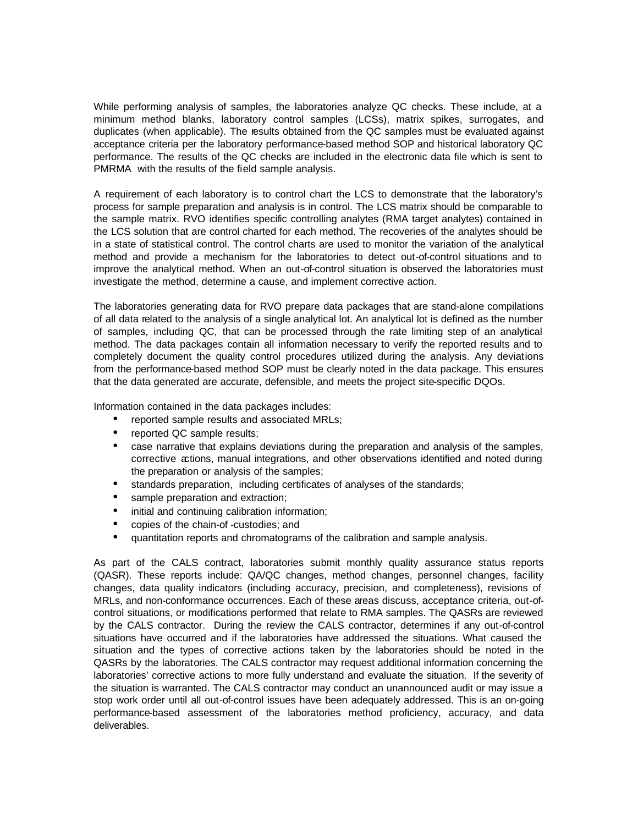While performing analysis of samples, the laboratories analyze QC checks. These include, at a minimum method blanks, laboratory control samples (LCSs), matrix spikes, surrogates, and duplicates (when applicable). The results obtained from the QC samples must be evaluated against acceptance criteria per the laboratory performance-based method SOP and historical laboratory QC performance. The results of the QC checks are included in the electronic data file which is sent to PMRMA with the results of the field sample analysis.

A requirement of each laboratory is to control chart the LCS to demonstrate that the laboratory's process for sample preparation and analysis is in control. The LCS matrix should be comparable to the sample matrix. RVO identifies specific controlling analytes (RMA target analytes) contained in the LCS solution that are control charted for each method. The recoveries of the analytes should be in a state of statistical control. The control charts are used to monitor the variation of the analytical method and provide a mechanism for the laboratories to detect out-of-control situations and to improve the analytical method. When an out-of-control situation is observed the laboratories must investigate the method, determine a cause, and implement corrective action.

The laboratories generating data for RVO prepare data packages that are stand-alone compilations of all data related to the analysis of a single analytical lot. An analytical lot is defined as the number of samples, including QC, that can be processed through the rate limiting step of an analytical method. The data packages contain all information necessary to verify the reported results and to completely document the quality control procedures utilized during the analysis. Any deviations from the performance-based method SOP must be clearly noted in the data package. This ensures that the data generated are accurate, defensible, and meets the project site-specific DQOs.

Information contained in the data packages includes:

- reported sample results and associated MRLs;
- reported QC sample results;
- case narrative that explains deviations during the preparation and analysis of the samples, corrective actions, manual integrations, and other observations identified and noted during the preparation or analysis of the samples;
- standards preparation, including certificates of analyses of the standards;
- sample preparation and extraction;
- initial and continuing calibration information;
- copies of the chain-of -custodies; and
- ü quantitation reports and chromatograms of the calibration and sample analysis.

As part of the CALS contract, laboratories submit monthly quality assurance status reports (QASR). These reports include: QA/QC changes, method changes, personnel changes, facility changes, data quality indicators (including accuracy, precision, and completeness), revisions of MRLs, and non-conformance occurrences. Each of these areas discuss, acceptance criteria, out-ofcontrol situations, or modifications performed that relate to RMA samples. The QASRs are reviewed by the CALS contractor. During the review the CALS contractor, determines if any out-of-control situations have occurred and if the laboratories have addressed the situations. What caused the situation and the types of corrective actions taken by the laboratories should be noted in the QASRs by the laboratories. The CALS contractor may request additional information concerning the laboratories' corrective actions to more fully understand and evaluate the situation. If the severity of the situation is warranted. The CALS contractor may conduct an unannounced audit or may issue a stop work order until all out-of-control issues have been adequately addressed. This is an on-going performance-based assessment of the laboratories method proficiency, accuracy, and data deliverables.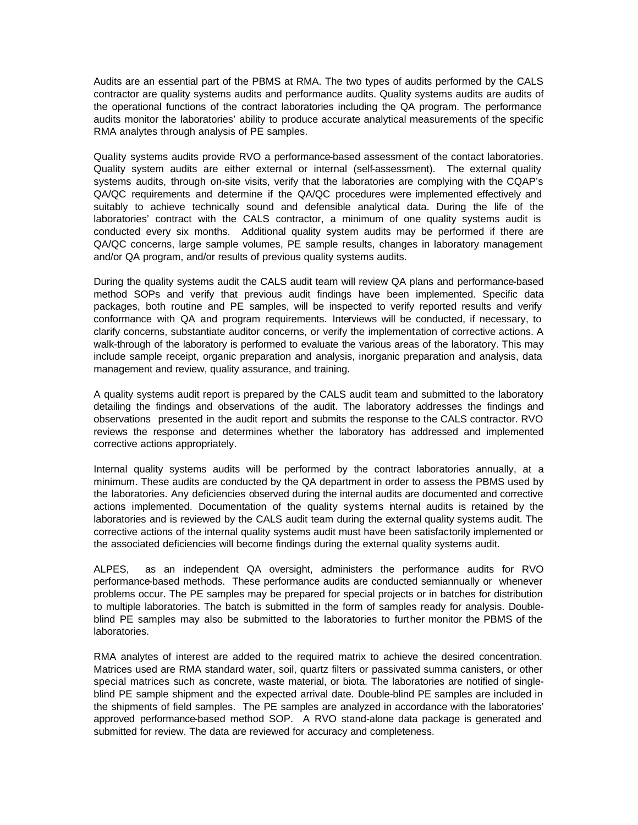Audits are an essential part of the PBMS at RMA. The two types of audits performed by the CALS contractor are quality systems audits and performance audits. Quality systems audits are audits of the operational functions of the contract laboratories including the QA program. The performance audits monitor the laboratories' ability to produce accurate analytical measurements of the specific RMA analytes through analysis of PE samples.

Quality systems audits provide RVO a performance-based assessment of the contact laboratories. Quality system audits are either external or internal (self-assessment). The external quality systems audits, through on-site visits, verify that the laboratories are complying with the CQAP's QA/QC requirements and determine if the QA/QC procedures were implemented effectively and suitably to achieve technically sound and defensible analytical data. During the life of the laboratories' contract with the CALS contractor, a minimum of one quality systems audit is conducted every six months. Additional quality system audits may be performed if there are QA/QC concerns, large sample volumes, PE sample results, changes in laboratory management and/or QA program, and/or results of previous quality systems audits.

During the quality systems audit the CALS audit team will review QA plans and performance-based method SOPs and verify that previous audit findings have been implemented. Specific data packages, both routine and PE samples, will be inspected to verify reported results and verify conformance with QA and program requirements. Interviews will be conducted, if necessary, to clarify concerns, substantiate auditor concerns, or verify the implementation of corrective actions. A walk-through of the laboratory is performed to evaluate the various areas of the laboratory. This may include sample receipt, organic preparation and analysis, inorganic preparation and analysis, data management and review, quality assurance, and training.

A quality systems audit report is prepared by the CALS audit team and submitted to the laboratory detailing the findings and observations of the audit. The laboratory addresses the findings and observations presented in the audit report and submits the response to the CALS contractor. RVO reviews the response and determines whether the laboratory has addressed and implemented corrective actions appropriately.

Internal quality systems audits will be performed by the contract laboratories annually, at a minimum. These audits are conducted by the QA department in order to assess the PBMS used by the laboratories. Any deficiencies observed during the internal audits are documented and corrective actions implemented. Documentation of the quality systems internal audits is retained by the laboratories and is reviewed by the CALS audit team during the external quality systems audit. The corrective actions of the internal quality systems audit must have been satisfactorily implemented or the associated deficiencies will become findings during the external quality systems audit.

ALPES, as an independent QA oversight, administers the performance audits for RVO performance-based methods. These performance audits are conducted semiannually or whenever problems occur. The PE samples may be prepared for special projects or in batches for distribution to multiple laboratories. The batch is submitted in the form of samples ready for analysis. Doubleblind PE samples may also be submitted to the laboratories to further monitor the PBMS of the laboratories.

RMA analytes of interest are added to the required matrix to achieve the desired concentration. Matrices used are RMA standard water, soil, quartz filters or passivated summa canisters, or other special matrices such as concrete, waste material, or biota. The laboratories are notified of singleblind PE sample shipment and the expected arrival date. Double-blind PE samples are included in the shipments of field samples. The PE samples are analyzed in accordance with the laboratories' approved performance-based method SOP. A RVO stand-alone data package is generated and submitted for review. The data are reviewed for accuracy and completeness.